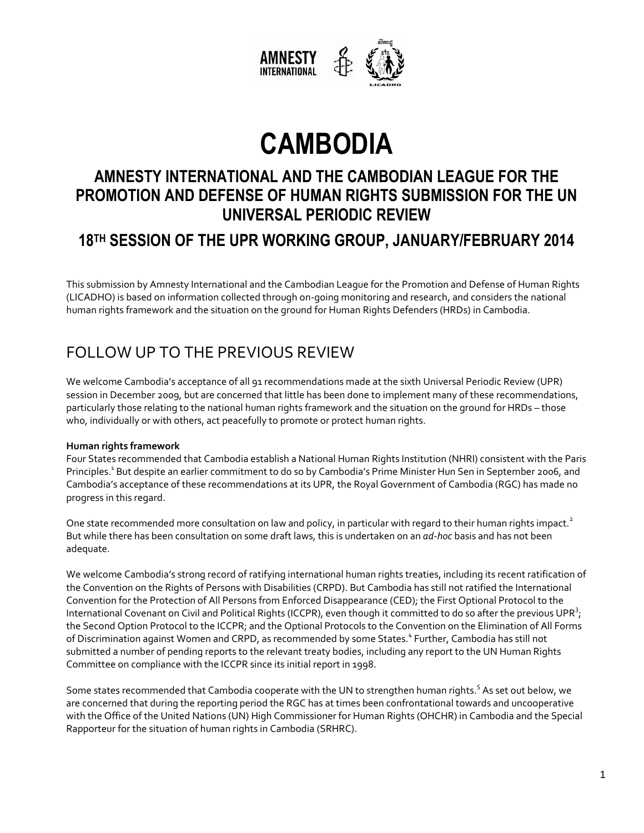

# **CAMBODIA**

# **AMNESTY INTERNATIONAL AND THE CAMBODIAN LEAGUE FOR THE PROMOTION AND DEFENSE OF HUMAN RIGHTS SUBMISSION FOR THE UN UNIVERSAL PERIODIC REVIEW**

### **18TH SESSION OF THE UPR WORKING GROUP, JANUARY/FEBRUARY 2014**

This submission by Amnesty International and the Cambodian League for the Promotion and Defense of Human Rights (LICADHO) is based on information collected through on-going monitoring and research, and considers the national human rights framework and the situation on the ground for Human Rights Defenders (HRDs) in Cambodia.

# FOLLOW UP TO THE PREVIOUS REVIEW

We welcome Cambodia's acceptance of all 91 recommendations made at the sixth Universal Periodic Review (UPR) session in December 2009, but are concerned that little has been done to implement many of these recommendations, particularly those relating to the national human rights framework and the situation on the ground for HRDs – those who, individually or with others, act peacefully to promote or protect human rights.

#### **Human rights framework**

Four States recommended that Cambodia establish a National Human Rights Institution (NHRI) consistent with the Paris Principles.<sup>1</sup> But despite an earlier commitment to do so by Cambodia's Prime Minister Hun Sen in September 2006, and Cambodia's acceptance of these recommendations at its UPR, the Royal Government of Cambodia (RGC) has made no progress in this regard.

One state recommended more consultation on law and policy, in particular with regard to their human rights impact.<sup>2</sup> But while there has been consultation on some draft laws, this is undertaken on an *ad-hoc* basis and has not been adequate.

We welcome Cambodia's strong record of ratifying international human rights treaties, including its recent ratification of the Convention on the Rights of Persons with Disabilities (CRPD). But Cambodia has still not ratified the International Convention for the Protection of All Persons from Enforced Disappearance (CED); the First Optional Protocol to the International Covenant on Civil and Political Rights (ICCPR), even though it committed to do so after the previous UPR $^3$ ; the Second Option Protocol to the ICCPR; and the Optional Protocols to the Convention on the Elimination of All Forms of Discrimination against Women and CRPD, as recommended by some States.<sup>4</sup> Further, Cambodia has still not submitted a number of pending reports to the relevant treaty bodies, including any report to the UN Human Rights Committee on compliance with the ICCPR since its initial report in 1998.

Some states recommended that Cambodia cooperate with the UN to strengthen human rights.<sup>5</sup> As set out below, we are concerned that during the reporting period the RGC has at times been confrontational towards and uncooperative with the Office of the United Nations (UN) High Commissioner for Human Rights (OHCHR) in Cambodia and the Special Rapporteur for the situation of human rights in Cambodia (SRHRC).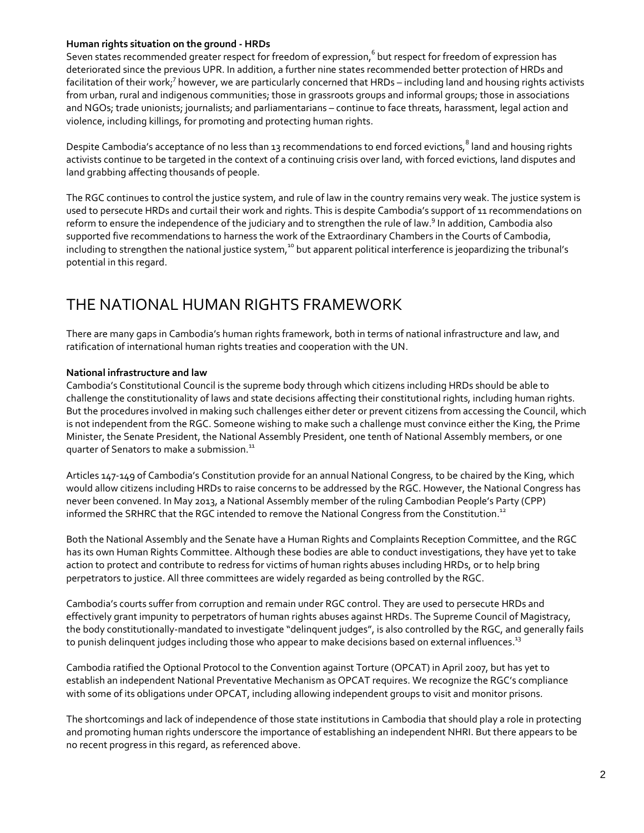#### **Human rights situation on the ground - HRDs**

Seven states recommended greater respect for freedom of expression, 6 but respect for freedom of expression has deteriorated since the previous UPR. In addition, a further nine states recommended better protection of HRDs and facilitation of their work;<sup>7</sup> however, we are particularly concerned that HRDs – including land and housing rights activists from urban, rural and indigenous communities; those in grassroots groups and informal groups; those in associations and NGOs; trade unionists; journalists; and parliamentarians – continue to face threats, harassment, legal action and violence, including killings, for promoting and protecting human rights.

Despite Cambodia's acceptance of no less than 13 recommendations to end forced evictions,<sup>8</sup> land and housing rights activists continue to be targeted in the context of a continuing crisis over land, with forced evictions, land disputes and land grabbing affecting thousands of people.

The RGC continues to control the justice system, and rule of law in the country remains very weak. The justice system is used to persecute HRDs and curtail their work and rights. This is despite Cambodia's support of 11 recommendations on reform to ensure the independence of the judiciary and to strengthen the rule of law.<sup>9</sup> In addition, Cambodia also supported five recommendations to harness the work of the Extraordinary Chambers in the Courts of Cambodia, including to strengthen the national justice system, $^{10}$  but apparent political interference is jeopardizing the tribunal's potential in this regard.

### THE NATIONAL HUMAN RIGHTS FRAMEWORK

There are many gaps in Cambodia's human rights framework, both in terms of national infrastructure and law, and ratification of international human rights treaties and cooperation with the UN.

#### **National infrastructure and law**

Cambodia's Constitutional Council is the supreme body through which citizens including HRDs should be able to challenge the constitutionality of laws and state decisions affecting their constitutional rights, including human rights. But the procedures involved in making such challenges either deter or prevent citizens from accessing the Council, which is not independent from the RGC. Someone wishing to make such a challenge must convince either the King, the Prime Minister, the Senate President, the National Assembly President, one tenth of National Assembly members, or one quarter of Senators to make a submission.<sup>11</sup>

Articles 147-149 of Cambodia's Constitution provide for an annual National Congress, to be chaired by the King, which would allow citizens including HRDs to raise concerns to be addressed by the RGC. However, the National Congress has never been convened. In May 2013, a National Assembly member of the ruling Cambodian People's Party (CPP) informed the SRHRC that the RGC intended to remove the National Congress from the Constitution.<sup>12</sup>

Both the National Assembly and the Senate have a Human Rights and Complaints Reception Committee, and the RGC has its own Human Rights Committee. Although these bodies are able to conduct investigations, they have yet to take action to protect and contribute to redress for victims of human rights abuses including HRDs, or to help bring perpetrators to justice. All three committees are widely regarded as being controlled by the RGC.

Cambodia's courts suffer from corruption and remain under RGC control. They are used to persecute HRDs and effectively grant impunity to perpetrators of human rights abuses against HRDs. The Supreme Council of Magistracy, the body constitutionally-mandated to investigate "delinquent judges", is also controlled by the RGC, and generally fails to punish delinquent judges including those who appear to make decisions based on external influences.<sup>13</sup>

Cambodia ratified the Optional Protocol to the Convention against Torture (OPCAT) in April 2007, but has yet to establish an independent National Preventative Mechanism as OPCAT requires. We recognize the RGC's compliance with some of its obligations under OPCAT, including allowing independent groups to visit and monitor prisons.

The shortcomings and lack of independence of those state institutions in Cambodia that should play a role in protecting and promoting human rights underscore the importance of establishing an independent NHRI. But there appears to be no recent progress in this regard, as referenced above.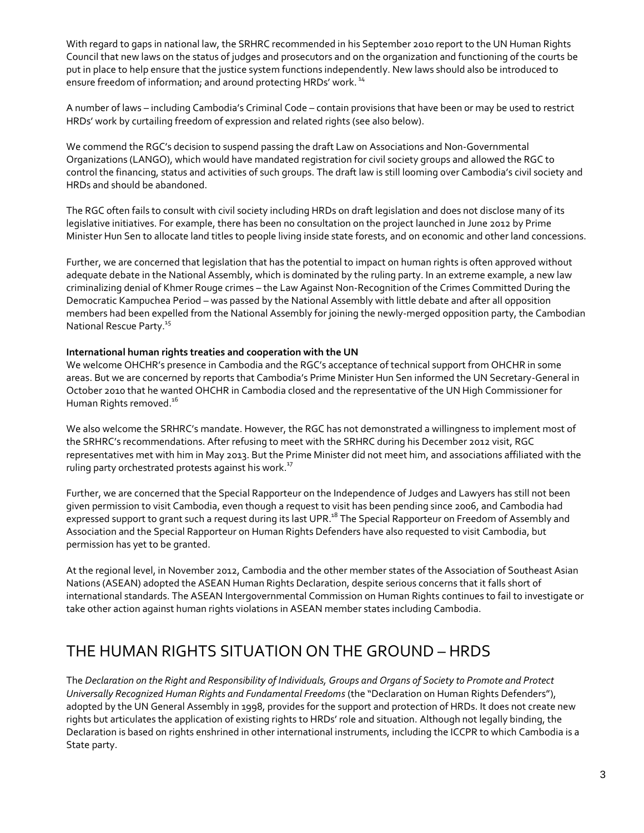With regard to gaps in national law, the SRHRC recommended in his September 2010 report to the UN Human Rights Council that new laws on the status of judges and prosecutors and on the organization and functioning of the courts be put in place to help ensure that the justice system functions independently. New laws should also be introduced to ensure freedom of information; and around protecting HRDs' work.<sup>14</sup>

A number of laws – including Cambodia's Criminal Code – contain provisions that have been or may be used to restrict HRDs' work by curtailing freedom of expression and related rights (see also below).

We commend the RGC's decision to suspend passing the draft Law on Associations and Non-Governmental Organizations (LANGO), which would have mandated registration for civil society groups and allowed the RGC to control the financing, status and activities of such groups. The draft law is still looming over Cambodia's civil society and HRDs and should be abandoned.

The RGC often fails to consult with civil society including HRDs on draft legislation and does not disclose many of its legislative initiatives. For example, there has been no consultation on the project launched in June 2012 by Prime Minister Hun Sen to allocate land titles to people living inside state forests, and on economic and other land concessions.

Further, we are concerned that legislation that has the potential to impact on human rights is often approved without adequate debate in the National Assembly, which is dominated by the ruling party. In an extreme example, a new law criminalizing denial of Khmer Rouge crimes – the Law Against Non-Recognition of the Crimes Committed During the Democratic Kampuchea Period – was passed by the National Assembly with little debate and after all opposition members had been expelled from the National Assembly for joining the newly-merged opposition party, the Cambodian National Rescue Party.<sup>15</sup>

#### **International human rights treaties and cooperation with the UN**

We welcome OHCHR's presence in Cambodia and the RGC's acceptance of technical support from OHCHR in some areas. But we are concerned by reports that Cambodia's Prime Minister Hun Sen informed the UN Secretary-General in October 2010 that he wanted OHCHR in Cambodia closed and the representative of the UN High Commissioner for Human Rights removed. 16

We also welcome the SRHRC's mandate. However, the RGC has not demonstrated a willingness to implement most of the SRHRC's recommendations. After refusing to meet with the SRHRC during his December 2012 visit, RGC representatives met with him in May 2013. But the Prime Minister did not meet him, and associations affiliated with the ruling party orchestrated protests against his work.<sup>17</sup>

Further, we are concerned that the Special Rapporteur on the Independence of Judges and Lawyers has still not been given permission to visit Cambodia, even though a request to visit has been pending since 2006, and Cambodia had expressed support to grant such a request during its last UPR.<sup>18</sup> The Special Rapporteur on Freedom of Assembly and Association and the Special Rapporteur on Human Rights Defenders have also requested to visit Cambodia, but permission has yet to be granted.

At the regional level, in November 2012, Cambodia and the other member states of the Association of Southeast Asian Nations (ASEAN) adopted the ASEAN Human Rights Declaration, despite serious concerns that it falls short of international standards. The ASEAN Intergovernmental Commission on Human Rights continues to fail to investigate or take other action against human rights violations in ASEAN member states including Cambodia.

# THE HUMAN RIGHTS SITUATION ON THE GROUND – HRDS

The *Declaration on the Right and Responsibility of Individuals, Groups and Organs of Society to Promote and Protect Universally Recognized Human Rights and Fundamental Freedoms* (the "Declaration on Human Rights Defenders"), adopted by the UN General Assembly in 1998, provides for the support and protection of HRDs. It does not create new rights but articulates the application of existing rights to HRDs' role and situation. Although not legally binding, the Declaration is based on rights enshrined in other international instruments, including the ICCPR to which Cambodia is a State party.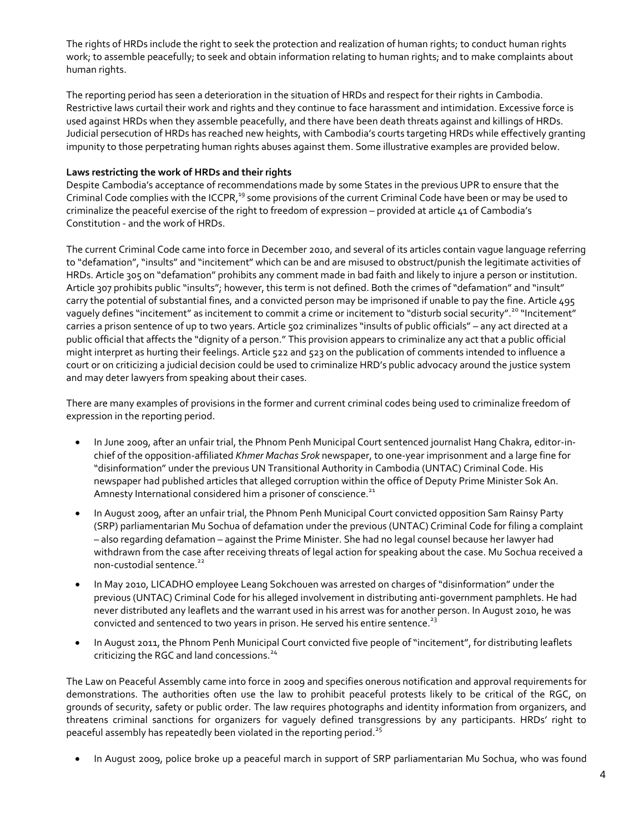The rights of HRDs include the right to seek the protection and realization of human rights; to conduct human rights work; to assemble peacefully; to seek and obtain information relating to human rights; and to make complaints about human rights.

The reporting period has seen a deterioration in the situation of HRDs and respect for their rights in Cambodia. Restrictive laws curtail their work and rights and they continue to face harassment and intimidation. Excessive force is used against HRDs when they assemble peacefully, and there have been death threats against and killings of HRDs. Judicial persecution of HRDs has reached new heights, with Cambodia's courts targeting HRDs while effectively granting impunity to those perpetrating human rights abuses against them. Some illustrative examples are provided below.

#### **Laws restricting the work of HRDs and their rights**

Despite Cambodia's acceptance of recommendations made by some States in the previous UPR to ensure that the Criminal Code complies with the ICCPR,<sup>19</sup> some provisions of the current Criminal Code have been or may be used to criminalize the peaceful exercise of the right to freedom of expression – provided at article 41 of Cambodia's Constitution - and the work of HRDs.

The current Criminal Code came into force in December 2010, and several of its articles contain vague language referring to "defamation", "insults" and "incitement" which can be and are misused to obstruct/punish the legitimate activities of HRDs. Article 305 on "defamation" prohibits any comment made in bad faith and likely to injure a person or institution. Article 307 prohibits public "insults"; however, this term is not defined. Both the crimes of "defamation" and "insult" carry the potential of substantial fines, and a convicted person may be imprisoned if unable to pay the fine. Article 495 vaguely defines "incitement" as incitement to commit a crime or incitement to "disturb social security".<sup>20</sup> "Incitement" carries a prison sentence of up to two years. Article 502 criminalizes "insults of public officials" – any act directed at a public official that affects the "dignity of a person." This provision appears to criminalize any act that a public official might interpret as hurting their feelings. Article 522 and 523 on the publication of comments intended to influence a court or on criticizing a judicial decision could be used to criminalize HRD's public advocacy around the justice system and may deter lawyers from speaking about their cases.

There are many examples of provisions in the former and current criminal codes being used to criminalize freedom of expression in the reporting period.

- In June 2009, after an unfair trial, the Phnom Penh Municipal Court sentenced journalist Hang Chakra, editor-inchief of the opposition-affiliated *Khmer Machas Srok* newspaper, to one-year imprisonment and a large fine for "disinformation" under the previous UN Transitional Authority in Cambodia (UNTAC) Criminal Code. His newspaper had published articles that alleged corruption within the office of Deputy Prime Minister Sok An. Amnesty International considered him a prisoner of conscience.<sup>21</sup>
- In August 2009, after an unfair trial, the Phnom Penh Municipal Court convicted opposition Sam Rainsy Party (SRP) parliamentarian Mu Sochua of defamation under the previous (UNTAC) Criminal Code for filing a complaint – also regarding defamation – against the Prime Minister. She had no legal counsel because her lawyer had withdrawn from the case after receiving threats of legal action for speaking about the case. Mu Sochua received a non-custodial sentence.<sup>22</sup>
- In May 2010, LICADHO employee Leang Sokchouen was arrested on charges of "disinformation" under the previous (UNTAC) Criminal Code for his alleged involvement in distributing anti-government pamphlets. He had never distributed any leaflets and the warrant used in his arrest was for another person. In August 2010, he was convicted and sentenced to two years in prison. He served his entire sentence.<sup>23</sup>
- In August 2011, the Phnom Penh Municipal Court convicted five people of "incitement", for distributing leaflets criticizing the RGC and land concessions.<sup>24</sup>

The Law on Peaceful Assembly came into force in 2009 and specifies onerous notification and approval requirements for demonstrations. The authorities often use the law to prohibit peaceful protests likely to be critical of the RGC, on grounds of security, safety or public order. The law requires photographs and identity information from organizers, and threatens criminal sanctions for organizers for vaguely defined transgressions by any participants. HRDs' right to peaceful assembly has repeatedly been violated in the reporting period. $25$ 

In August 2009, police broke up a peaceful march in support of SRP parliamentarian Mu Sochua, who was found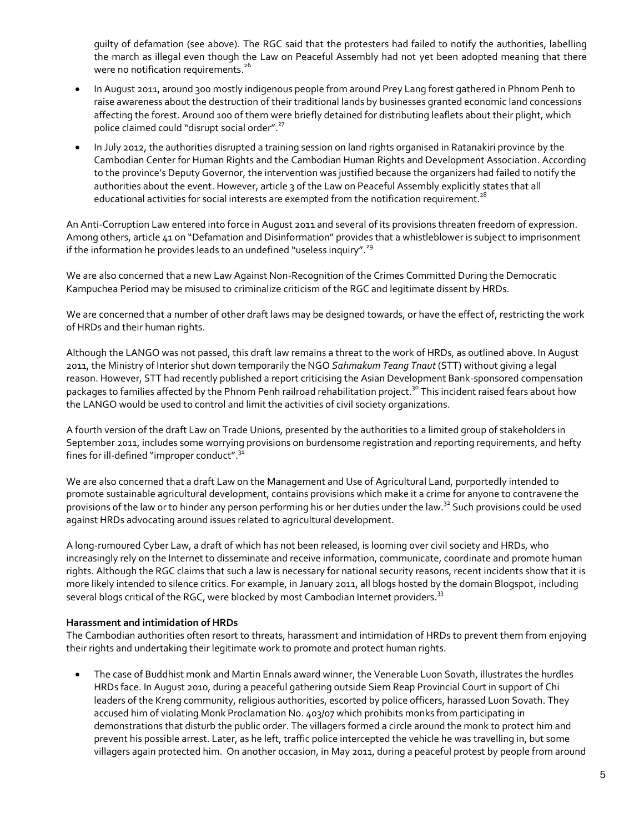guilty of defamation (see above). The RGC said that the protesters had failed to notify the authorities, labelling the march as illegal even though the Law on Peaceful Assembly had not yet been adopted meaning that there were no notification requirements.<sup>26</sup>

- In August 2011, around 300 mostly indigenous people from around Prey Lang forest gathered in Phnom Penh to raise awareness about the destruction of their traditional lands by businesses granted economic land concessions affecting the forest. Around 100 of them were briefly detained for distributing leaflets about their plight, which police claimed could "disrupt social order".<sup>27</sup>
- In July 2012, the authorities disrupted a training session on land rights organised in Ratanakiri province by the Cambodian Center for Human Rights and the Cambodian Human Rights and Development Association. According to the province's Deputy Governor, the intervention was justified because the organizers had failed to notify the authorities about the event. However, article 3 of the Law on Peaceful Assembly explicitly states that all educational activities for social interests are exempted from the notification requirement.<sup>28</sup>

An Anti-Corruption Law entered into force in August 2011 and several of its provisions threaten freedom of expression. Among others, article 41 on "Defamation and Disinformation" provides that a whistleblower is subject to imprisonment if the information he provides leads to an undefined "useless inquiry".<sup>29</sup>

We are also concerned that a new Law Against Non-Recognition of the Crimes Committed During the Democratic Kampuchea Period may be misused to criminalize criticism of the RGC and legitimate dissent by HRDs.

We are concerned that a number of other draft laws may be designed towards, or have the effect of, restricting the work of HRDs and their human rights.

Although the LANGO was not passed, this draft law remains a threat to the work of HRDs, as outlined above. In August 2011, the Ministry of Interior shut down temporarily the NGO *Sahmakum Teang Tnaut* (STT) without giving a legal reason. However, STT had recently published a report criticising the Asian Development Bank-sponsored compensation packages to families affected by the Phnom Penh railroad rehabilitation project.<sup>30</sup> This incident raised fears about how the LANGO would be used to control and limit the activities of civil society organizations.

A fourth version of the draft Law on Trade Unions, presented by the authorities to a limited group of stakeholders in September 2011, includes some worrying provisions on burdensome registration and reporting requirements, and hefty fines for ill-defined "improper conduct".<sup>31</sup>

We are also concerned that a draft Law on the Management and Use of Agricultural Land, purportedly intended to promote sustainable agricultural development, contains provisions which make it a crime for anyone to contravene the provisions of the law or to hinder any person performing his or her duties under the law.<sup>32</sup> Such provisions could be used against HRDs advocating around issues related to agricultural development.

A long-rumoured Cyber Law, a draft of which has not been released, is looming over civil society and HRDs, who increasingly rely on the Internet to disseminate and receive information, communicate, coordinate and promote human rights. Although the RGC claims that such a law is necessary for national security reasons, recent incidents show that it is more likely intended to silence critics. For example, in January 2011, all blogs hosted by the domain Blogspot, including several blogs critical of the RGC, were blocked by most Cambodian Internet providers.<sup>33</sup>

#### **Harassment and intimidation of HRDs**

The Cambodian authorities often resort to threats, harassment and intimidation of HRDs to prevent them from enjoying their rights and undertaking their legitimate work to promote and protect human rights.

 The case of Buddhist monk and Martin Ennals award winner, the Venerable Luon Sovath, illustrates the hurdles HRDs face. In August 2010, during a peaceful gathering outside Siem Reap Provincial Court in support of Chi leaders of the Kreng community, religious authorities, escorted by police officers, harassed Luon Sovath. They accused him of violating Monk Proclamation No. 403/07 which prohibits monks from participating in demonstrations that disturb the public order. The villagers formed a circle around the monk to protect him and prevent his possible arrest. Later, as he left, traffic police intercepted the vehicle he was travelling in, but some villagers again protected him. On another occasion, in May 2011, during a peaceful protest by people from around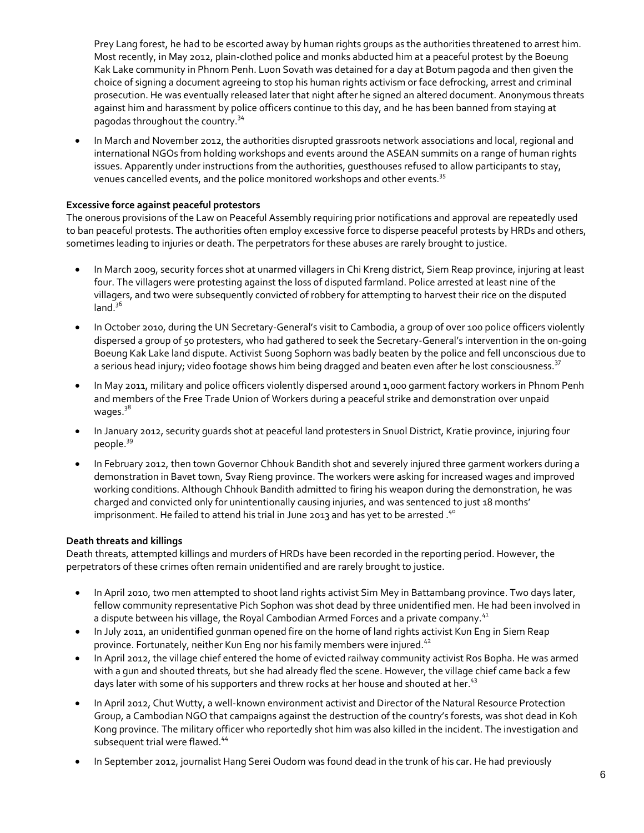Prey Lang forest, he had to be escorted away by human rights groups as the authorities threatened to arrest him. Most recently, in May 2012, plain-clothed police and monks abducted him at a peaceful protest by the Boeung Kak Lake community in Phnom Penh. Luon Sovath was detained for a day at Botum pagoda and then given the choice of signing a document agreeing to stop his human rights activism or face defrocking, arrest and criminal prosecution. He was eventually released later that night after he signed an altered document. Anonymous threats against him and harassment by police officers continue to this day, and he has been banned from staying at pagodas throughout the country.<sup>34</sup>

 In March and November 2012, the authorities disrupted grassroots network associations and local, regional and international NGOs from holding workshops and events around the ASEAN summits on a range of human rights issues. Apparently under instructions from the authorities, guesthouses refused to allow participants to stay, venues cancelled events, and the police monitored workshops and other events.<sup>35</sup>

#### **Excessive force against peaceful protestors**

The onerous provisions of the Law on Peaceful Assembly requiring prior notifications and approval are repeatedly used to ban peaceful protests. The authorities often employ excessive force to disperse peaceful protests by HRDs and others, sometimes leading to injuries or death. The perpetrators for these abuses are rarely brought to justice.

- In March 2009, security forces shot at unarmed villagers in Chi Kreng district, Siem Reap province, injuring at least four. The villagers were protesting against the loss of disputed farmland. Police arrested at least nine of the villagers, and two were subsequently convicted of robbery for attempting to harvest their rice on the disputed  $land.<sup>36</sup>$
- In October 2010, during the UN Secretary-General's visit to Cambodia, a group of over 100 police officers violently dispersed a group of 50 protesters, who had gathered to seek the Secretary-General's intervention in the on-going Boeung Kak Lake land dispute. Activist Suong Sophorn was badly beaten by the police and fell unconscious due to a serious head injury; video footage shows him being dragged and beaten even after he lost consciousness.<sup>37</sup>
- In May 2011, military and police officers violently dispersed around 1,000 garment factory workers in Phnom Penh and members of the Free Trade Union of Workers during a peaceful strike and demonstration over unpaid wages.<sup>38</sup>
- In January 2012, security guards shot at peaceful land protesters in Snuol District, Kratie province, injuring four people.<sup>39</sup>
- In February 2012, then town Governor Chhouk Bandith shot and severely injured three garment workers during a demonstration in Bavet town, Svay Rieng province. The workers were asking for increased wages and improved working conditions. Although Chhouk Bandith admitted to firing his weapon during the demonstration, he was charged and convicted only for unintentionally causing injuries, and was sentenced to just 18 months' imprisonment. He failed to attend his trial in June 2013 and has yet to be arrested.<sup>40</sup>

#### **Death threats and killings**

Death threats, attempted killings and murders of HRDs have been recorded in the reporting period. However, the perpetrators of these crimes often remain unidentified and are rarely brought to justice.

- In April 2010, two men attempted to shoot land rights activist Sim Mey in Battambang province. Two days later, fellow community representative Pich Sophon was shot dead by three unidentified men. He had been involved in a dispute between his village, the Royal Cambodian Armed Forces and a private company.<sup>41</sup>
- In July 2011, an unidentified gunman opened fire on the home of land rights activist Kun Eng in Siem Reap province. Fortunately, neither Kun Eng nor his family members were injured.<sup>42</sup>
- In April 2012, the village chief entered the home of evicted railway community activist Ros Bopha. He was armed with a gun and shouted threats, but she had already fled the scene. However, the village chief came back a few days later with some of his supporters and threw rocks at her house and shouted at her.<sup>43</sup>
- In April 2012, Chut Wutty, a well-known environment activist and Director of the Natural Resource Protection Group, a Cambodian NGO that campaigns against the destruction of the country's forests, was shot dead in Koh Kong province. The military officer who reportedly shot him was also killed in the incident. The investigation and subsequent trial were flawed.<sup>44</sup>
- In September 2012, journalist Hang Serei Oudom was found dead in the trunk of his car. He had previously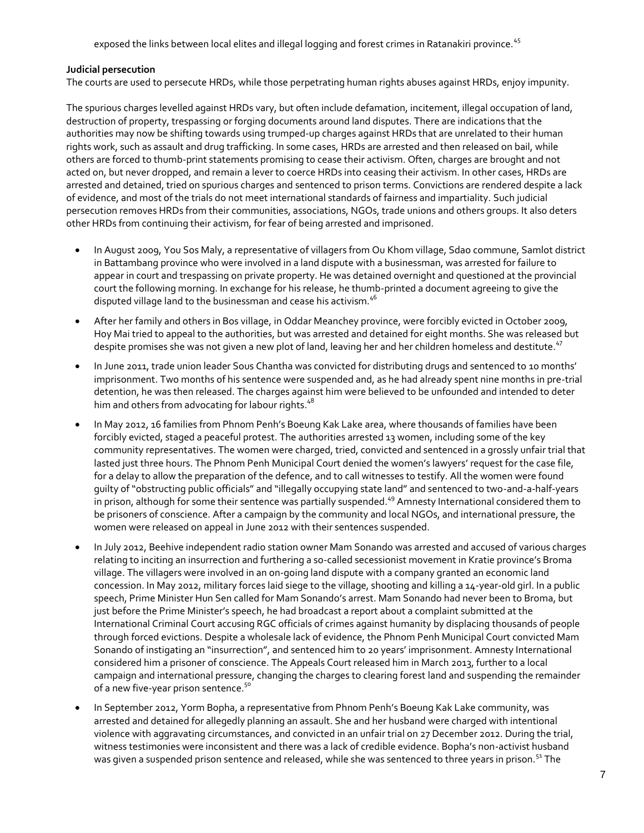exposed the links between local elites and illegal logging and forest crimes in Ratanakiri province.<sup>45</sup>

#### **Judicial persecution**

The courts are used to persecute HRDs, while those perpetrating human rights abuses against HRDs, enjoy impunity.

The spurious charges levelled against HRDs vary, but often include defamation, incitement, illegal occupation of land, destruction of property, trespassing or forging documents around land disputes. There are indications that the authorities may now be shifting towards using trumped-up charges against HRDs that are unrelated to their human rights work, such as assault and drug trafficking. In some cases, HRDs are arrested and then released on bail, while others are forced to thumb-print statements promising to cease their activism. Often, charges are brought and not acted on, but never dropped, and remain a lever to coerce HRDs into ceasing their activism. In other cases, HRDs are arrested and detained, tried on spurious charges and sentenced to prison terms. Convictions are rendered despite a lack of evidence, and most of the trials do not meet international standards of fairness and impartiality. Such judicial persecution removes HRDs from their communities, associations, NGOs, trade unions and others groups. It also deters other HRDs from continuing their activism, for fear of being arrested and imprisoned.

- In August 2009, You Sos Maly, a representative of villagers from Ou Khom village, Sdao commune, Samlot district in Battambang province who were involved in a land dispute with a businessman, was arrested for failure to appear in court and trespassing on private property. He was detained overnight and questioned at the provincial court the following morning. In exchange for his release, he thumb-printed a document agreeing to give the disputed village land to the businessman and cease his activism.<sup>46</sup>
- After her family and others in Bos village, in Oddar Meanchey province, were forcibly evicted in October 2009, Hoy Mai tried to appeal to the authorities, but was arrested and detained for eight months. She was released but despite promises she was not given a new plot of land, leaving her and her children homeless and destitute.<sup>47</sup>
- In June 2011, trade union leader Sous Chantha was convicted for distributing drugs and sentenced to 10 months' imprisonment. Two months of his sentence were suspended and, as he had already spent nine months in pre-trial detention, he was then released. The charges against him were believed to be unfounded and intended to deter him and others from advocating for labour rights.<sup>48</sup>
- In May 2012, 16 families from Phnom Penh's Boeung Kak Lake area, where thousands of families have been forcibly evicted, staged a peaceful protest. The authorities arrested 13 women, including some of the key community representatives. The women were charged, tried, convicted and sentenced in a grossly unfair trial that lasted just three hours. The Phnom Penh Municipal Court denied the women's lawyers' request for the case file, for a delay to allow the preparation of the defence, and to call witnesses to testify. All the women were found guilty of "obstructing public officials" and "illegally occupying state land" and sentenced to two-and-a-half-years in prison, although for some their sentence was partially suspended.<sup>49</sup> Amnesty International considered them to be prisoners of conscience. After a campaign by the community and local NGOs, and international pressure, the women were released on appeal in June 2012 with their sentences suspended.
- In July 2012, Beehive independent radio station owner Mam Sonando was arrested and accused of various charges relating to inciting an insurrection and furthering a so-called secessionist movement in Kratie province's Broma village. The villagers were involved in an on-going land dispute with a company granted an economic land concession. In May 2012, military forces laid siege to the village, shooting and killing a 14-year-old girl. In a public speech, Prime Minister Hun Sen called for Mam Sonando's arrest. Mam Sonando had never been to Broma, but just before the Prime Minister's speech, he had broadcast a report about a complaint submitted at the International Criminal Court accusing RGC officials of crimes against humanity by displacing thousands of people through forced evictions. Despite a wholesale lack of evidence, the Phnom Penh Municipal Court convicted Mam Sonando of instigating an "insurrection", and sentenced him to 20 years' imprisonment. Amnesty International considered him a prisoner of conscience. The Appeals Court released him in March 2013, further to a local campaign and international pressure, changing the charges to clearing forest land and suspending the remainder of a new five-year prison sentence.<sup>50</sup>
- In September 2012, Yorm Bopha, a representative from Phnom Penh's Boeung Kak Lake community, was arrested and detained for allegedly planning an assault. She and her husband were charged with intentional violence with aggravating circumstances, and convicted in an unfair trial on 27 December 2012. During the trial, witness testimonies were inconsistent and there was a lack of credible evidence. Bopha's non-activist husband was given a suspended prison sentence and released, while she was sentenced to three years in prison.<sup>51</sup> The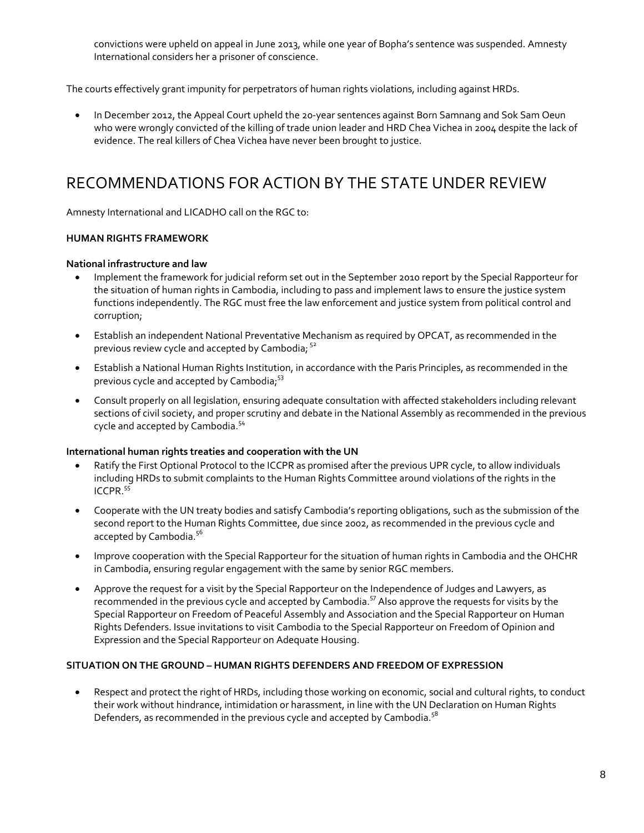convictions were upheld on appeal in June 2013, while one year of Bopha's sentence was suspended. Amnesty International considers her a prisoner of conscience.

The courts effectively grant impunity for perpetrators of human rights violations, including against HRDs.

 In December 2012, the Appeal Court upheld the 20-year sentences against Born Samnang and Sok Sam Oeun who were wrongly convicted of the killing of trade union leader and HRD Chea Vichea in 2004 despite the lack of evidence. The real killers of Chea Vichea have never been brought to justice.

### RECOMMENDATIONS FOR ACTION BY THE STATE UNDER REVIEW

Amnesty International and LICADHO call on the RGC to:

#### **HUMAN RIGHTS FRAMEWORK**

#### **National infrastructure and law**

- Implement the framework for judicial reform set out in the September 2010 report by the Special Rapporteur for the situation of human rights in Cambodia, including to pass and implement laws to ensure the justice system functions independently. The RGC must free the law enforcement and justice system from political control and corruption;
- Establish an independent National Preventative Mechanism as required by OPCAT, as recommended in the previous review cycle and accepted by Cambodia;  $52$
- Establish a National Human Rights Institution, in accordance with the Paris Principles, as recommended in the previous cycle and accepted by Cambodia,<sup>53</sup>
- Consult properly on all legislation, ensuring adequate consultation with affected stakeholders including relevant sections of civil society, and proper scrutiny and debate in the National Assembly as recommended in the previous cycle and accepted by Cambodia.<sup>54</sup>

#### **International human rights treaties and cooperation with the UN**

- Ratify the First Optional Protocol to the ICCPR as promised after the previous UPR cycle, to allow individuals including HRDs to submit complaints to the Human Rights Committee around violations of the rights in the ICCPR.<sup>55</sup>
- Cooperate with the UN treaty bodies and satisfy Cambodia's reporting obligations, such as the submission of the second report to the Human Rights Committee, due since 2002, as recommended in the previous cycle and accepted by Cambodia.<sup>56</sup>
- Improve cooperation with the Special Rapporteur for the situation of human rights in Cambodia and the OHCHR in Cambodia, ensuring regular engagement with the same by senior RGC members.
- Approve the request for a visit by the Special Rapporteur on the Independence of Judges and Lawyers, as recommended in the previous cycle and accepted by Cambodia.<sup>57</sup> Also approve the requests for visits by the Special Rapporteur on Freedom of Peaceful Assembly and Association and the Special Rapporteur on Human Rights Defenders. Issue invitations to visit Cambodia to the Special Rapporteur on Freedom of Opinion and Expression and the Special Rapporteur on Adequate Housing.

#### **SITUATION ON THE GROUND – HUMAN RIGHTS DEFENDERS AND FREEDOM OF EXPRESSION**

 Respect and protect the right of HRDs, including those working on economic, social and cultural rights, to conduct their work without hindrance, intimidation or harassment, in line with the UN Declaration on Human Rights Defenders, as recommended in the previous cycle and accepted by Cambodia.<sup>58</sup>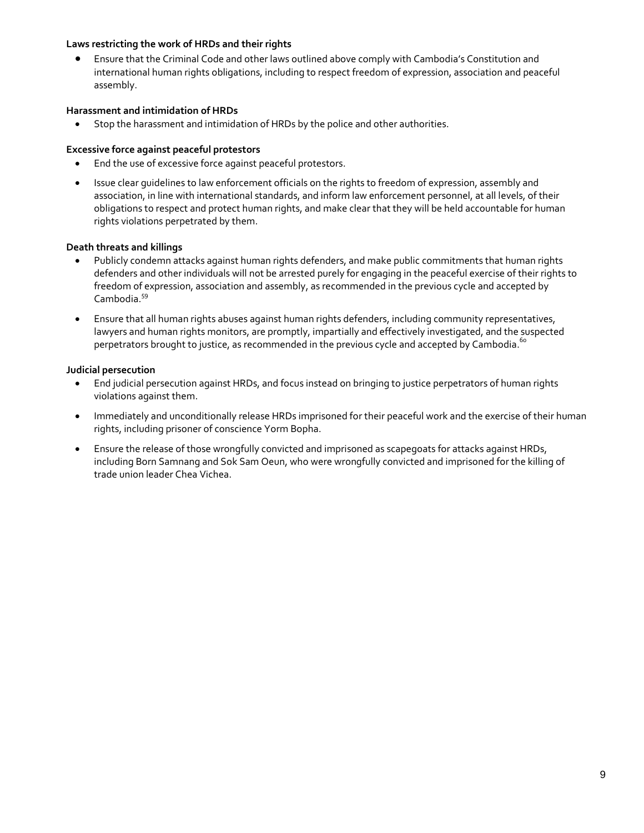#### **Laws restricting the work of HRDs and their rights**

 Ensure that the Criminal Code and other laws outlined above comply with Cambodia's Constitution and international human rights obligations, including to respect freedom of expression, association and peaceful assembly.

#### **Harassment and intimidation of HRDs**

Stop the harassment and intimidation of HRDs by the police and other authorities.

#### **Excessive force against peaceful protestors**

- End the use of excessive force against peaceful protestors.
- Issue clear guidelines to law enforcement officials on the rights to freedom of expression, assembly and association, in line with international standards, and inform law enforcement personnel, at all levels, of their obligations to respect and protect human rights, and make clear that they will be held accountable for human rights violations perpetrated by them.

#### **Death threats and killings**

- Publicly condemn attacks against human rights defenders, and make public commitments that human rights defenders and other individuals will not be arrested purely for engaging in the peaceful exercise of their rights to freedom of expression, association and assembly, as recommended in the previous cycle and accepted by Cambodia. 59
- Ensure that all human rights abuses against human rights defenders, including community representatives, lawyers and human rights monitors, are promptly, impartially and effectively investigated, and the suspected perpetrators brought to justice, as recommended in the previous cycle and accepted by Cambodia.  $^{6\circ}$

#### **Judicial persecution**

- End judicial persecution against HRDs, and focus instead on bringing to justice perpetrators of human rights violations against them.
- Immediately and unconditionally release HRDs imprisoned for their peaceful work and the exercise of their human rights, including prisoner of conscience Yorm Bopha.
- Ensure the release of those wrongfully convicted and imprisoned as scapegoats for attacks against HRDs, including Born Samnang and Sok Sam Oeun, who were wrongfully convicted and imprisoned for the killing of trade union leader Chea Vichea.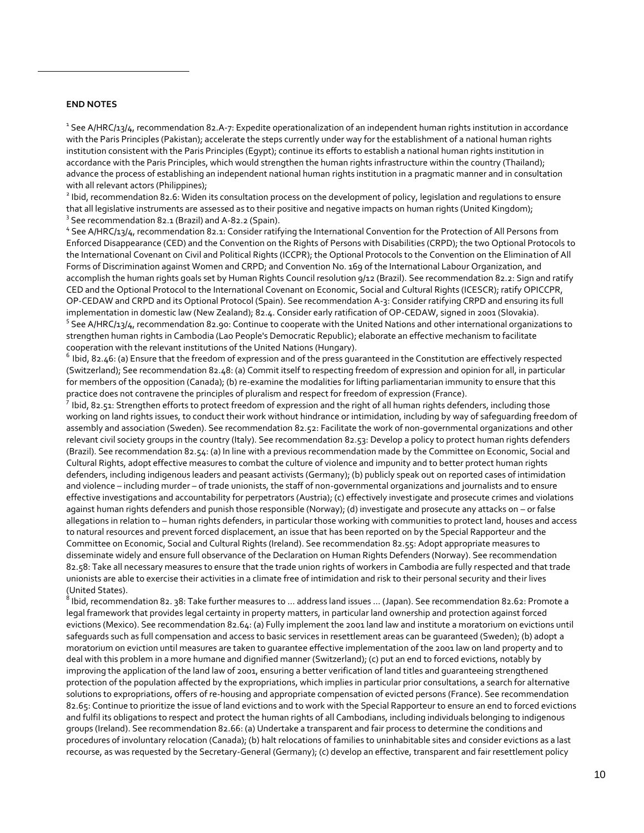#### **END NOTES**

 $\overline{\phantom{a}}$ 

<sup>1</sup> See A/HRC/13/4, recommendation 82.A-7: Expedite operationalization of an independent human rights institution in accordance with the Paris Principles (Pakistan); accelerate the steps currently under way for the establishment of a national human rights institution consistent with the Paris Principles (Egypt); continue its efforts to establish a national human rights institution in accordance with the Paris Principles, which would strengthen the human rights infrastructure within the country (Thailand); advance the process of establishing an independent national human rights institution in a pragmatic manner and in consultation with all relevant actors (Philippines);

 $^2$  Ibid, recommendation 82.6: Widen its consultation process on the development of policy, legislation and regulations to ensure that all legislative instruments are assessed as to their positive and negative impacts on human rights (United Kingdom); <sup>3</sup> See recommendation 82.1 (Brazil) and A-82.2 (Spain).

<sup>4</sup> See A/HRC/13/4, recommendation 82.1: Consider ratifying the International Convention for the Protection of All Persons from Enforced Disappearance (CED) and the Convention on the Rights of Persons with Disabilities (CRPD); the two Optional Protocols to the International Covenant on Civil and Political Rights (ICCPR); the Optional Protocols to the Convention on the Elimination of All Forms of Discrimination against Women and CRPD; and Convention No. 169 of the International Labour Organization, and accomplish the human rights goals set by Human Rights Council resolution 9/12 (Brazil). See recommendation 82.2: Sign and ratify CED and the Optional Protocol to the International Covenant on Economic, Social and Cultural Rights (ICESCR); ratify OPICCPR, OP-CEDAW and CRPD and its Optional Protocol (Spain). See recommendation A-3: Consider ratifying CRPD and ensuring its full implementation in domestic law (New Zealand); 82.4. Consider early ratification of OP-CEDAW, signed in 2001 (Slovakia). <sup>5</sup> See A/HRC/13/4, recommendation 82.90: Continue to cooperate with the United Nations and other international organizations to strengthen human rights in Cambodia (Lao People's Democratic Republic); elaborate an effective mechanism to facilitate cooperation with the relevant institutions of the United Nations (Hungary).

 $^6$  Ibid, 82.46: (a) Ensure that the freedom of expression and of the press guaranteed in the Constitution are effectively respected (Switzerland); See recommendation 82.48: (a) Commit itself to respecting freedom of expression and opinion for all, in particular for members of the opposition (Canada); (b) re-examine the modalities for lifting parliamentarian immunity to ensure that this practice does not contravene the principles of pluralism and respect for freedom of expression (France).

 $^7$  Ibid, 82.51: Strengthen efforts to protect freedom of expression and the right of all human rights defenders, including those working on land rights issues, to conduct their work without hindrance or intimidation, including by way of safeguarding freedom of assembly and association (Sweden). See recommendation 82.52: Facilitate the work of non-governmental organizations and other relevant civil society groups in the country (Italy). See recommendation 82.53: Develop a policy to protect human rights defenders (Brazil). See recommendation 82.54: (a) In line with a previous recommendation made by the Committee on Economic, Social and Cultural Rights, adopt effective measures to combat the culture of violence and impunity and to better protect human rights defenders, including indigenous leaders and peasant activists (Germany); (b) publicly speak out on reported cases of intimidation and violence – including murder – of trade unionists, the staff of non-governmental organizations and journalists and to ensure effective investigations and accountability for perpetrators (Austria); (c) effectively investigate and prosecute crimes and violations against human rights defenders and punish those responsible (Norway); (d) investigate and prosecute any attacks on – or false allegations in relation to – human rights defenders, in particular those working with communities to protect land, houses and access to natural resources and prevent forced displacement, an issue that has been reported on by the Special Rapporteur and the Committee on Economic, Social and Cultural Rights (Ireland). See recommendation 82.55: Adopt appropriate measures to disseminate widely and ensure full observance of the Declaration on Human Rights Defenders (Norway). See recommendation 82.58: Take all necessary measures to ensure that the trade union rights of workers in Cambodia are fully respected and that trade unionists are able to exercise their activities in a climate free of intimidation and risk to their personal security and their lives (United States).

 $^8$  Ibid, recommendation 82. 38: Take further measures to … address land issues … (Japan). See recommendation 82.62: Promote a legal framework that provides legal certainty in property matters, in particular land ownership and protection against forced evictions (Mexico). See recommendation 82.64: (a) Fully implement the 2001 land law and institute a moratorium on evictions until safeguards such as full compensation and access to basic services in resettlement areas can be guaranteed (Sweden); (b) adopt a moratorium on eviction until measures are taken to guarantee effective implementation of the 2001 law on land property and to deal with this problem in a more humane and dignified manner (Switzerland); (c) put an end to forced evictions, notably by improving the application of the land law of 2001, ensuring a better verification of land titles and guaranteeing strengthened protection of the population affected by the expropriations, which implies in particular prior consultations, a search for alternative solutions to expropriations, offers of re-housing and appropriate compensation of evicted persons (France). See recommendation 82.65: Continue to prioritize the issue of land evictions and to work with the Special Rapporteur to ensure an end to forced evictions and fulfil its obligations to respect and protect the human rights of all Cambodians, including individuals belonging to indigenous groups (Ireland). See recommendation 82.66: (a) Undertake a transparent and fair process to determine the conditions and procedures of involuntary relocation (Canada); (b) halt relocations of families to uninhabitable sites and consider evictions as a last recourse, as was requested by the Secretary-General (Germany); (c) develop an effective, transparent and fair resettlement policy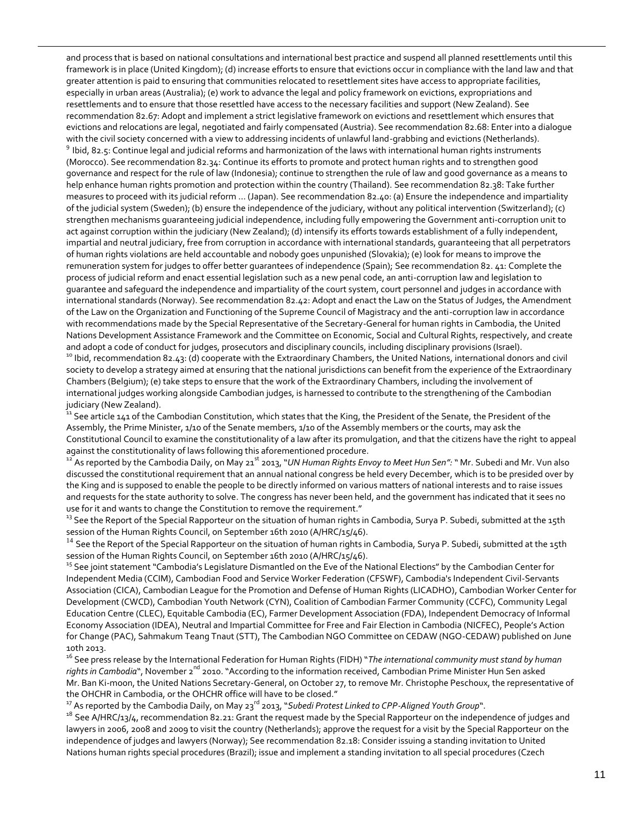and process that is based on national consultations and international best practice and suspend all planned resettlements until this framework is in place (United Kingdom); (d) increase efforts to ensure that evictions occur in compliance with the land law and that greater attention is paid to ensuring that communities relocated to resettlement sites have access to appropriate facilities, especially in urban areas (Australia); (e) work to advance the legal and policy framework on evictions, expropriations and resettlements and to ensure that those resettled have access to the necessary facilities and support (New Zealand). See recommendation 82.67: Adopt and implement a strict legislative framework on evictions and resettlement which ensures that evictions and relocations are legal, negotiated and fairly compensated (Austria). See recommendation 82.68: Enter into a dialogue with the civil society concerned with a view to addressing incidents of unlawful land-grabbing and evictions (Netherlands). <sup>9</sup> Ibid, 82.5: Continue legal and judicial reforms and harmonization of the laws with international human rights instruments (Morocco). See recommendation 82.34: Continue its efforts to promote and protect human rights and to strengthen good governance and respect for the rule of law (Indonesia); continue to strengthen the rule of law and good governance as a means to help enhance human rights promotion and protection within the country (Thailand). See recommendation 82.38: Take further measures to proceed with its judicial reform … (Japan). See recommendation 82.40: (a) Ensure the independence and impartiality of the judicial system (Sweden); (b) ensure the independence of the judiciary, without any political intervention (Switzerland); (c) strengthen mechanisms guaranteeing judicial independence, including fully empowering the Government anti-corruption unit to act against corruption within the judiciary (New Zealand); (d) intensify its efforts towards establishment of a fully independent, impartial and neutral judiciary, free from corruption in accordance with international standards, guaranteeing that all perpetrators of human rights violations are held accountable and nobody goes unpunished (Slovakia); (e) look for means to improve the remuneration system for judges to offer better guarantees of independence (Spain); See recommendation 82. 41: Complete the process of judicial reform and enact essential legislation such as a new penal code, an anti-corruption law and legislation to guarantee and safeguard the independence and impartiality of the court system, court personnel and judges in accordance with international standards (Norway). See recommendation 82.42: Adopt and enact the Law on the Status of Judges, the Amendment of the Law on the Organization and Functioning of the Supreme Council of Magistracy and the anti-corruption law in accordance with recommendations made by the Special Representative of the Secretary-General for human rights in Cambodia, the United Nations Development Assistance Framework and the Committee on Economic, Social and Cultural Rights, respectively, and create and adopt a code of conduct for judges, prosecutors and disciplinary councils, including disciplinary provisions (Israel). <sup>10</sup> Ibid, recommendation 82.43: (d) cooperate with the Extraordinary Chambers, the United Nations, international donors and civil society to develop a strategy aimed at ensuring that the national jurisdictions can benefit from the experience of the Extraordinary Chambers (Belgium); (e) take steps to ensure that the work of the Extraordinary Chambers, including the involvement of international judges working alongside Cambodian judges, is harnessed to contribute to the strengthening of the Cambodian judiciary (New Zealand).

 $\overline{\phantom{a}}$ 

 $^{\rm 11}$  See article 141 of the Cambodian Constitution, which states that the King, the President of the Senate, the President of the Assembly, the Prime Minister, 1/10 of the Senate members, 1/10 of the Assembly members or the courts, may ask the Constitutional Council to examine the constitutionality of a law after its promulgation, and that the citizens have the right to appeal against the constitutionality of laws following this aforementioned procedure.

<sup>12</sup> As reported by the Cambodia Daily, on May 21<sup>st</sup> 2013, "*UN Human Rights Envoy to Meet Hun Sen":* " Mr. Subedi and Mr. Vun also discussed the constitutional requirement that an annual national congress be held every December, which is to be presided over by the King and is supposed to enable the people to be directly informed on various matters of national interests and to raise issues and requests for the state authority to solve. The congress has never been held, and the government has indicated that it sees no use for it and wants to change the Constitution to remove the requirement."

<sup>13</sup> See the Report of the Special Rapporteur on the situation of human rights in Cambodia, Surya P. Subedi, submitted at the 15th session of the Human Rights Council, on September 16th 2010 (A/HRC/15/46).

<sup>14</sup> See the Report of the Special Rapporteur on the situation of human rights in Cambodia, Surya P. Subedi, submitted at the 15th session of the Human Rights Council, on September 16th 2010 (A/HRC/15/46).

<sup>15</sup> See joint statement "Cambodia's Legislature Dismantled on the Eve of the National Elections" by the Cambodian Center for Independent Media (CCIM), Cambodian Food and Service Worker Federation (CFSWF), Cambodia's Independent Civil-Servants Association (CICA), Cambodian League for the Promotion and Defense of Human Rights (LICADHO), Cambodian Worker Center for Development (CWCD), Cambodian Youth Network (CYN), Coalition of Cambodian Farmer Community (CCFC), Community Legal Education Centre (CLEC), Equitable Cambodia (EC), Farmer Development Association (FDA), Independent Democracy of Informal Economy Association (IDEA), Neutral and Impartial Committee for Free and Fair Election in Cambodia (NICFEC), People's Action for Change (PAC), Sahmakum Teang Tnaut (STT), The Cambodian NGO Committee on CEDAW (NGO-CEDAW) published on June 10th 2013.

<sup>16</sup> See press release by the International Federation for Human Rights (FIDH) "*The international community must stand by human*  rights in Cambodia", November 2<sup>nd</sup> 2010. "According to the information received, Cambodian Prime Minister Hun Sen asked Mr. Ban Ki-moon, the United Nations Secretary-General, on October 27, to remove Mr. Christophe Peschoux, the representative of the OHCHR in Cambodia, or the OHCHR office will have to be closed."

<sup>17</sup> As reported by the Cambodia Daily, on May 23<sup>rd</sup> 2013, "Subedi Protest Linked to CPP-Aligned Youth Group".

<sup>18</sup> See A/HRC/13/4, recommendation 82.21: Grant the request made by the Special Rapporteur on the independence of judges and lawyers in 2006, 2008 and 2009 to visit the country (Netherlands); approve the request for a visit by the Special Rapporteur on the independence of judges and lawyers (Norway); See recommendation 82.18: Consider issuing a standing invitation to United Nations human rights special procedures (Brazil); issue and implement a standing invitation to all special procedures (Czech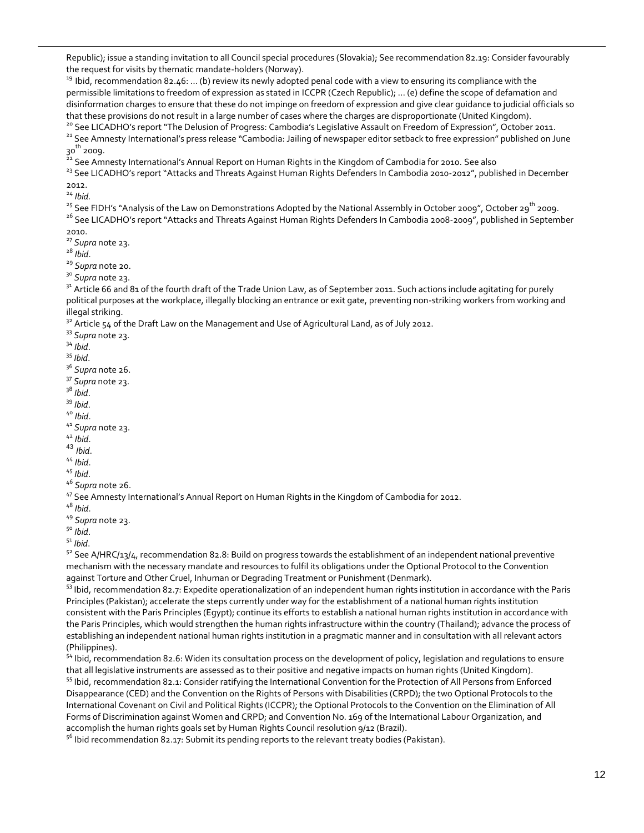Republic); issue a standing invitation to all Council special procedures (Slovakia); See recommendation 82.19: Consider favourably the request for visits by thematic mandate-holders (Norway).

<sup>19</sup> Ibid, recommendation 82.46: ... (b) review its newly adopted penal code with a view to ensuring its compliance with the permissible limitations to freedom of expression as stated in ICCPR (Czech Republic); … (e) define the scope of defamation and disinformation charges to ensure that these do not impinge on freedom of expression and give clear guidance to judicial officials so that these provisions do not result in a large number of cases where the charges are disproportionate (United Kingdom).

<sup>20</sup> See LICADHO's report "The Delusion of Progress: Cambodia's Legislative Assault on Freedom of Expression", October 2011.

<sup>21</sup> See Amnesty International's press release "Cambodia: Jailing of newspaper editor setback to free expression" published on June 30<sup>th</sup> 2009.

<sup>22</sup> See Amnesty International's Annual Report on Human Rights in the Kingdom of Cambodia for 2010. See also

<sup>23</sup> See LICADHO's report "Attacks and Threats Against Human Rights Defenders In Cambodia 2010-2012", published in December 2012.

<sup>24</sup> *Ibid.*

 $\overline{\phantom{a}}$ 

<sup>25</sup> See FIDH's "Analysis of the Law on Demonstrations Adopted by the National Assembly in October 2009", October 29<sup>th</sup> 2009.

<sup>26</sup> See LICADHO's report "Attacks and Threats Against Human Rights Defenders In Cambodia 2008-2009", published in September 2010.

<sup>27</sup> *Supra* note 23.

<sup>28</sup> *Ibid*.

<sup>29</sup> *Supra* note 20.

<sup>30</sup> *Supra* note 23.

 $31$  Article 66 and 81 of the fourth draft of the Trade Union Law, as of September 2011. Such actions include agitating for purely political purposes at the workplace, illegally blocking an entrance or exit gate, preventing non-striking workers from working and illegal striking.

 $32$  Article 54 of the Draft Law on the Management and Use of Agricultural Land, as of July 2012.

<sup>33</sup> *Supra* note 23.

<sup>34</sup> *Ibid*.

<sup>35</sup> *Ibid*.

<sup>36</sup> *Supra* note 26.

<sup>37</sup> *Supra* note 23.

- <sup>38</sup> *Ibid*.
- <sup>39</sup> *Ibid*.

<sup>40</sup> *Ibid*.

<sup>41</sup> *Supra* note 23.

<sup>42</sup> *Ibid*.

- <sup>43</sup> *Ibid*.
- <sup>44</sup> *Ibid*.

<sup>45</sup> *Ibid*.

<sup>46</sup> *Supra* note 26.

<sup>47</sup> See Amnesty International's Annual Report on Human Rights in the Kingdom of Cambodia for 2012.

<sup>48</sup> *Ibid*.

<sup>49</sup> *Supra* note 23.

<sup>50</sup> *Ibid*.

<sup>51</sup> *Ibid*.

 $52$  See A/HRC/13/4, recommendation 82.8: Build on progress towards the establishment of an independent national preventive mechanism with the necessary mandate and resources to fulfil its obligations under the Optional Protocol to the Convention against Torture and Other Cruel, Inhuman or Degrading Treatment or Punishment (Denmark).

 $53$  lbid, recommendation 82.7: Expedite operationalization of an independent human rights institution in accordance with the Paris Principles (Pakistan); accelerate the steps currently under way for the establishment of a national human rights institution consistent with the Paris Principles (Egypt); continue its efforts to establish a national human rights institution in accordance with the Paris Principles, which would strengthen the human rights infrastructure within the country (Thailand); advance the process of establishing an independent national human rights institution in a pragmatic manner and in consultation with all relevant actors (Philippines).

<sup>54</sup> Ibid, recommendation 82.6: Widen its consultation process on the development of policy, legislation and regulations to ensure that all legislative instruments are assessed as to their positive and negative impacts on human rights (United Kingdom).

<sup>55</sup> Ibid, recommendation 82.1: Consider ratifying the International Convention for the Protection of All Persons from Enforced Disappearance (CED) and the Convention on the Rights of Persons with Disabilities (CRPD); the two Optional Protocols to the International Covenant on Civil and Political Rights (ICCPR); the Optional Protocols to the Convention on the Elimination of All Forms of Discrimination against Women and CRPD; and Convention No. 169 of the International Labour Organization, and accomplish the human rights goals set by Human Rights Council resolution 9/12 (Brazil).

 $56$  Ibid recommendation 82.17: Submit its pending reports to the relevant treaty bodies (Pakistan).